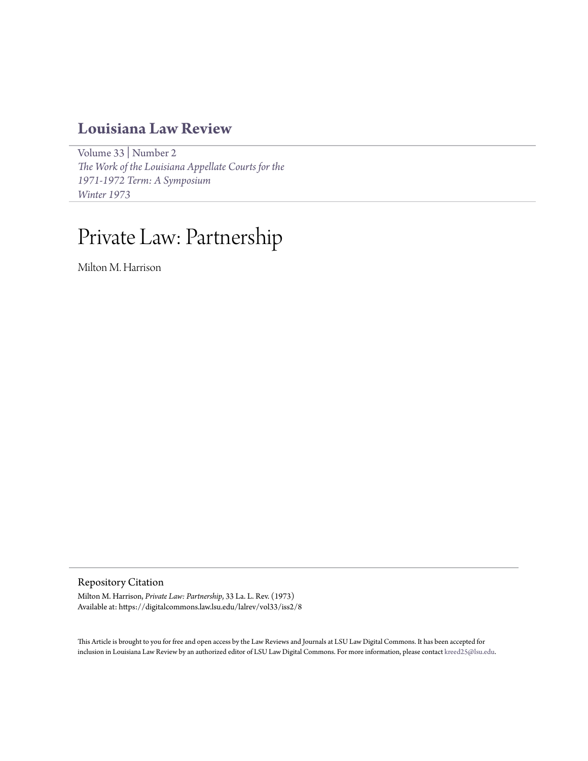## **[Louisiana Law Review](https://digitalcommons.law.lsu.edu/lalrev)**

[Volume 33](https://digitalcommons.law.lsu.edu/lalrev/vol33) | [Number 2](https://digitalcommons.law.lsu.edu/lalrev/vol33/iss2) *[The Work of the Louisiana Appellate Courts for the](https://digitalcommons.law.lsu.edu/lalrev/vol33/iss2) [1971-1972 Term: A Symposium](https://digitalcommons.law.lsu.edu/lalrev/vol33/iss2) [Winter 1973](https://digitalcommons.law.lsu.edu/lalrev/vol33/iss2)*

## Private Law: Partnership

Milton M. Harrison

Repository Citation

Milton M. Harrison, *Private Law: Partnership*, 33 La. L. Rev. (1973) Available at: https://digitalcommons.law.lsu.edu/lalrev/vol33/iss2/8

This Article is brought to you for free and open access by the Law Reviews and Journals at LSU Law Digital Commons. It has been accepted for inclusion in Louisiana Law Review by an authorized editor of LSU Law Digital Commons. For more information, please contact [kreed25@lsu.edu](mailto:kreed25@lsu.edu).